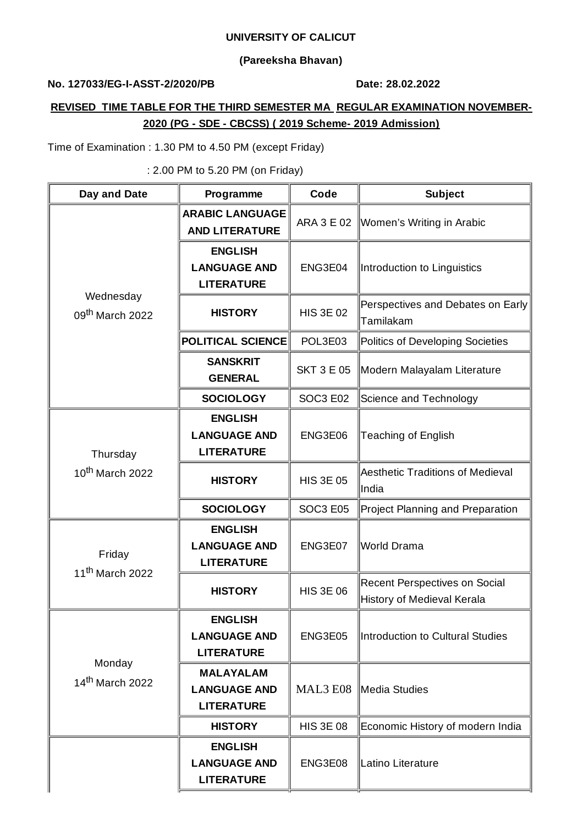#### **UNIVERSITY OF CALICUT**

### **(Pareeksha Bhavan)**

## **No. 127033/EG-I-ASST-2/2020/PB Date: 28.02.2022**

# **REVISED TIME TABLE FOR THE THIRD SEMESTER MA REGULAR EXAMINATION NOVEMBER-2020 (PG - SDE - CBCSS) ( 2019 Scheme- 2019 Admission)**

Time of Examination : 1.30 PM to 4.50 PM (except Friday)

: 2.00 PM to 5.20 PM (on Friday)

| Day and Date                             | Programme                                                    | Code              | <b>Subject</b>                                              |
|------------------------------------------|--------------------------------------------------------------|-------------------|-------------------------------------------------------------|
| Wednesday<br>09 <sup>th</sup> March 2022 | <b>ARABIC LANGUAGE</b><br><b>AND LITERATURE</b>              | ARA 3 E 02        | Women's Writing in Arabic                                   |
|                                          | <b>ENGLISH</b><br><b>LANGUAGE AND</b><br><b>LITERATURE</b>   | ENG3E04           | Introduction to Linguistics                                 |
|                                          | <b>HISTORY</b>                                               | <b>HIS 3E 02</b>  | Perspectives and Debates on Early<br>Tamilakam              |
|                                          | <b>POLITICAL SCIENCE</b>                                     | POL3E03           | Politics of Developing Societies                            |
|                                          | <b>SANSKRIT</b><br><b>GENERAL</b>                            | <b>SKT 3 E 05</b> | Modern Malayalam Literature                                 |
|                                          | <b>SOCIOLOGY</b>                                             | <b>SOC3 E02</b>   | Science and Technology                                      |
| Thursday<br>10 <sup>th</sup> March 2022  | <b>ENGLISH</b><br><b>LANGUAGE AND</b><br><b>LITERATURE</b>   | ENG3E06           | <b>Teaching of English</b>                                  |
|                                          | <b>HISTORY</b>                                               | <b>HIS 3E 05</b>  | <b>Aesthetic Traditions of Medieval</b><br>India            |
|                                          | <b>SOCIOLOGY</b>                                             | <b>SOC3 E05</b>   | Project Planning and Preparation                            |
| Friday<br>$11th$ March 2022              | <b>ENGLISH</b><br><b>LANGUAGE AND</b><br><b>LITERATURE</b>   | ENG3E07           | World Drama                                                 |
|                                          | <b>HISTORY</b>                                               | <b>HIS 3E 06</b>  | Recent Perspectives on Social<br>History of Medieval Kerala |
| Monday<br>$14^{\text{th}}$ March 2022    | <b>ENGLISH</b><br><b>LANGUAGE AND</b><br><b>LITERATURE</b>   | ENG3E05           | Introduction to Cultural Studies                            |
|                                          | <b>MALAYALAM</b><br><b>LANGUAGE AND</b><br><b>LITERATURE</b> | MAL3 E08          | Media Studies                                               |
|                                          | <b>HISTORY</b>                                               | <b>HIS 3E 08</b>  | Economic History of modern India                            |
|                                          | <b>ENGLISH</b><br><b>LANGUAGE AND</b><br><b>LITERATURE</b>   | ENG3E08           | Latino Literature                                           |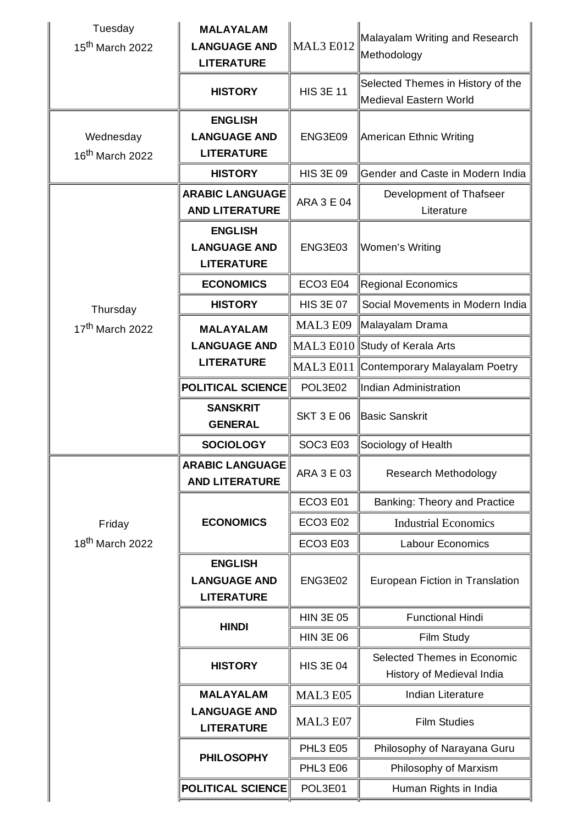| Tuesday<br>15 <sup>th</sup> March 2022   | <b>MALAYALAM</b><br><b>LANGUAGE AND</b><br><b>LITERATURE</b> | <b>MAL3 E012</b>  | Malayalam Writing and Research<br>Methodology               |
|------------------------------------------|--------------------------------------------------------------|-------------------|-------------------------------------------------------------|
|                                          | <b>HISTORY</b>                                               | <b>HIS 3E 11</b>  | Selected Themes in History of the<br>Medieval Eastern World |
| Wednesday<br>$16^{\text{th}}$ March 2022 | <b>ENGLISH</b><br><b>LANGUAGE AND</b><br><b>LITERATURE</b>   | ENG3E09           | American Ethnic Writing                                     |
|                                          | <b>HISTORY</b>                                               | <b>HIS 3E 09</b>  | Gender and Caste in Modern India                            |
|                                          | <b>ARABIC LANGUAGE</b><br><b>AND LITERATURE</b>              | <b>ARA 3 E 04</b> | Development of Thafseer<br>Literature                       |
|                                          | <b>ENGLISH</b><br><b>LANGUAGE AND</b><br><b>LITERATURE</b>   | ENG3E03           | Women's Writing                                             |
|                                          | <b>ECONOMICS</b>                                             | ECO3 E04          | <b>Regional Economics</b>                                   |
| Thursday                                 | <b>HISTORY</b>                                               | <b>HIS 3E 07</b>  | Social Movements in Modern India                            |
| 17 <sup>th</sup> March 2022              | <b>MALAYALAM</b>                                             | MAL3 E09          | Malayalam Drama                                             |
|                                          | <b>LANGUAGE AND</b>                                          |                   | MAL3 E010 Study of Kerala Arts                              |
|                                          | <b>LITERATURE</b>                                            |                   | MAL3 E011 Contemporary Malayalam Poetry                     |
|                                          | <b>POLITICAL SCIENCE</b>                                     | POL3E02           | Indian Administration                                       |
|                                          | <b>SANSKRIT</b><br><b>GENERAL</b>                            | <b>SKT 3 E 06</b> | <b>Basic Sanskrit</b>                                       |
|                                          | <b>SOCIOLOGY</b>                                             | SOC3 E03          | Sociology of Health                                         |
|                                          | <b>ARABIC LANGUAGE</b><br><b>AND LITERATURE</b>              | ARA 3 E 03        | Research Methodology                                        |
|                                          |                                                              | <b>ECO3 E01</b>   | Banking: Theory and Practice                                |
| Friday                                   | <b>ECONOMICS</b>                                             | <b>ECO3 E02</b>   | <b>Industrial Economics</b>                                 |
| 18 <sup>th</sup> March 2022              |                                                              | <b>ECO3 E03</b>   | <b>Labour Economics</b>                                     |
|                                          | <b>ENGLISH</b><br><b>LANGUAGE AND</b><br><b>LITERATURE</b>   | ENG3E02           | European Fiction in Translation                             |
|                                          | <b>HINDI</b>                                                 | <b>HIN 3E 05</b>  | <b>Functional Hindi</b>                                     |
|                                          |                                                              | <b>HIN 3E 06</b>  | Film Study                                                  |
|                                          | <b>HISTORY</b>                                               | <b>HIS 3E 04</b>  | Selected Themes in Economic<br>History of Medieval India    |
|                                          | <b>MALAYALAM</b>                                             | MAL3 E05          | Indian Literature                                           |
|                                          | <b>LANGUAGE AND</b><br><b>LITERATURE</b>                     | MAL3 E07          | <b>Film Studies</b>                                         |
|                                          | <b>PHILOSOPHY</b>                                            | <b>PHL3 E05</b>   | Philosophy of Narayana Guru                                 |
|                                          |                                                              | <b>PHL3 E06</b>   | Philosophy of Marxism                                       |
|                                          | <b>POLITICAL SCIENCE</b>                                     | POL3E01           | Human Rights in India                                       |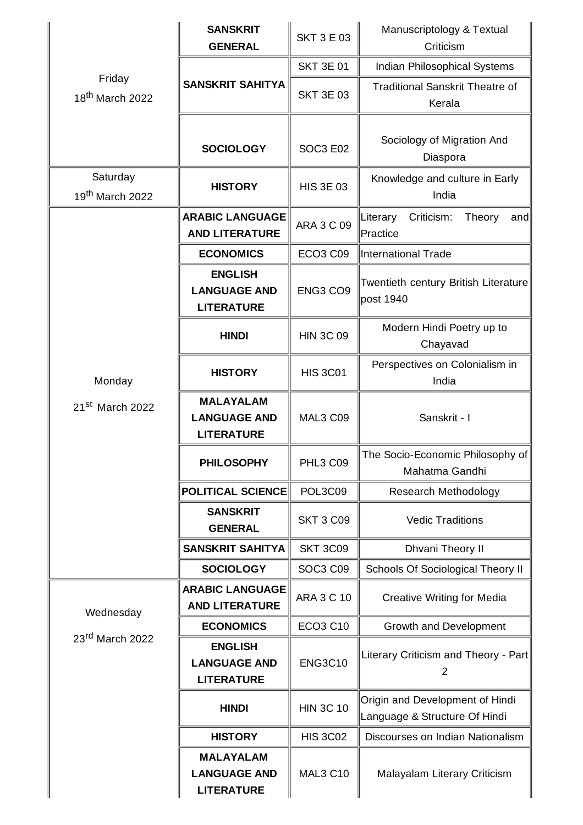|                                         | <b>SANSKRIT</b><br><b>GENERAL</b>                            | <b>SKT 3 E 03</b> | Manuscriptology & Textual<br>Criticism                           |
|-----------------------------------------|--------------------------------------------------------------|-------------------|------------------------------------------------------------------|
| Friday<br>18 <sup>th</sup> March 2022   | <b>SANSKRIT SAHITYA</b>                                      | <b>SKT 3E 01</b>  | Indian Philosophical Systems                                     |
|                                         |                                                              | <b>SKT 3E 03</b>  | <b>Traditional Sanskrit Theatre of</b><br>Kerala                 |
|                                         | <b>SOCIOLOGY</b>                                             | <b>SOC3 E02</b>   | Sociology of Migration And<br>Diaspora                           |
| Saturday<br>19 <sup>th</sup> March 2022 | <b>HISTORY</b>                                               | <b>HIS 3E 03</b>  | Knowledge and culture in Early<br>India                          |
|                                         | <b>ARABIC LANGUAGE</b><br><b>AND LITERATURE</b>              | <b>ARA 3 C 09</b> | Literary<br>Criticism:<br>Theory<br>and<br>Practice              |
|                                         | <b>ECONOMICS</b>                                             | <b>ECO3 C09</b>   | International Trade                                              |
| Monday<br>21st March 2022               | <b>ENGLISH</b><br><b>LANGUAGE AND</b><br><b>LITERATURE</b>   | ENG3 CO9          | Twentieth century British Literature<br>post 1940                |
|                                         | <b>HINDI</b>                                                 | <b>HIN 3C 09</b>  | Modern Hindi Poetry up to<br>Chayavad                            |
|                                         | <b>HISTORY</b>                                               | <b>HIS 3C01</b>   | Perspectives on Colonialism in<br>India                          |
|                                         | <b>MALAYALAM</b><br><b>LANGUAGE AND</b><br><b>LITERATURE</b> | MAL3 C09          | Sanskrit - I                                                     |
|                                         | <b>PHILOSOPHY</b>                                            | PHL3 C09          | The Socio-Economic Philosophy of<br>Mahatma Gandhi               |
|                                         | POLITICAL SCIENCE                                            | POL3C09           | Research Methodology                                             |
|                                         | <b>SANSKRIT</b><br><b>GENERAL</b>                            | <b>SKT 3 C09</b>  | <b>Vedic Traditions</b>                                          |
|                                         | <b>SANSKRIT SAHITYA</b>                                      | <b>SKT 3C09</b>   | Dhvani Theory II                                                 |
|                                         | <b>SOCIOLOGY</b>                                             | <b>SOC3 C09</b>   | Schools Of Sociological Theory II                                |
| Wednesday<br>23rd March 2022            | <b>ARABIC LANGUAGE</b><br><b>AND LITERATURE</b>              | <b>ARA 3 C 10</b> | <b>Creative Writing for Media</b>                                |
|                                         | <b>ECONOMICS</b>                                             | <b>ECO3 C10</b>   | Growth and Development                                           |
|                                         | <b>ENGLISH</b><br><b>LANGUAGE AND</b><br><b>LITERATURE</b>   | <b>ENG3C10</b>    | Literary Criticism and Theory - Part<br>$\overline{2}$           |
|                                         | <b>HINDI</b>                                                 | <b>HIN 3C 10</b>  | Origin and Development of Hindi<br>Language & Structure Of Hindi |
|                                         | <b>HISTORY</b>                                               | <b>HIS 3C02</b>   | Discourses on Indian Nationalism                                 |
|                                         | <b>MALAYALAM</b><br><b>LANGUAGE AND</b><br><b>LITERATURE</b> | <b>MAL3 C10</b>   | Malayalam Literary Criticism                                     |